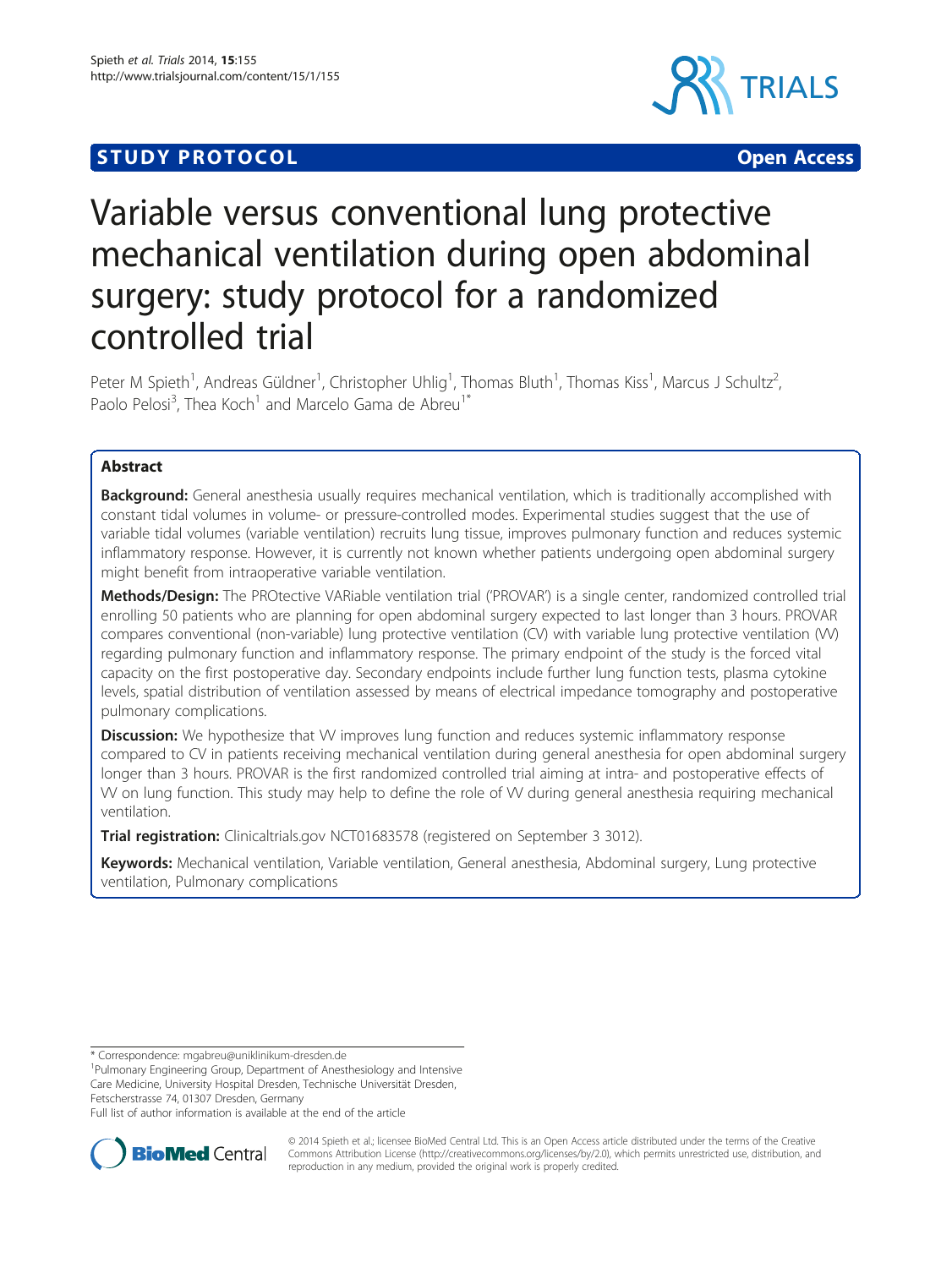## **STUDY PROTOCOL CONSUMING THE CONSUMING OPEN ACCESS**



# Variable versus conventional lung protective mechanical ventilation during open abdominal surgery: study protocol for a randomized controlled trial

Peter M Spieth<sup>1</sup>, Andreas Güldner<sup>1</sup>, Christopher Uhlig<sup>1</sup>, Thomas Bluth<sup>1</sup>, Thomas Kiss<sup>1</sup>, Marcus J Schultz<sup>2</sup> , Paolo Pelosi<sup>3</sup>, Thea Koch<sup>1</sup> and Marcelo Gama de Abreu<sup>1\*</sup>

### Abstract

Background: General anesthesia usually requires mechanical ventilation, which is traditionally accomplished with constant tidal volumes in volume- or pressure-controlled modes. Experimental studies suggest that the use of variable tidal volumes (variable ventilation) recruits lung tissue, improves pulmonary function and reduces systemic inflammatory response. However, it is currently not known whether patients undergoing open abdominal surgery might benefit from intraoperative variable ventilation.

Methods/Design: The PROtective VARiable ventilation trial ('PROVAR') is a single center, randomized controlled trial enrolling 50 patients who are planning for open abdominal surgery expected to last longer than 3 hours. PROVAR compares conventional (non-variable) lung protective ventilation (CV) with variable lung protective ventilation (VV) regarding pulmonary function and inflammatory response. The primary endpoint of the study is the forced vital capacity on the first postoperative day. Secondary endpoints include further lung function tests, plasma cytokine levels, spatial distribution of ventilation assessed by means of electrical impedance tomography and postoperative pulmonary complications.

**Discussion:** We hypothesize that W improves lung function and reduces systemic inflammatory response compared to CV in patients receiving mechanical ventilation during general anesthesia for open abdominal surgery longer than 3 hours. PROVAR is the first randomized controlled trial aiming at intra- and postoperative effects of VV on lung function. This study may help to define the role of VV during general anesthesia requiring mechanical ventilation.

Trial registration: Clinicaltrials.gov [NCT01683578](http://clinicaltrials.gov/ct2/show/NCT01683578) (registered on September 3 3012).

Keywords: Mechanical ventilation, Variable ventilation, General anesthesia, Abdominal surgery, Lung protective ventilation, Pulmonary complications

\* Correspondence: [mgabreu@uniklinikum-dresden.de](mailto:mgabreu@uniklinikum-dresden.de) <sup>1</sup>

<sup>1</sup>Pulmonary Engineering Group, Department of Anesthesiology and Intensive Care Medicine, University Hospital Dresden, Technische Universität Dresden, Fetscherstrasse 74, 01307 Dresden, Germany

Full list of author information is available at the end of the article



© 2014 Spieth et al.; licensee BioMed Central Ltd. This is an Open Access article distributed under the terms of the Creative Commons Attribution License [\(http://creativecommons.org/licenses/by/2.0\)](http://creativecommons.org/licenses/by/2.0), which permits unrestricted use, distribution, and reproduction in any medium, provided the original work is properly credited.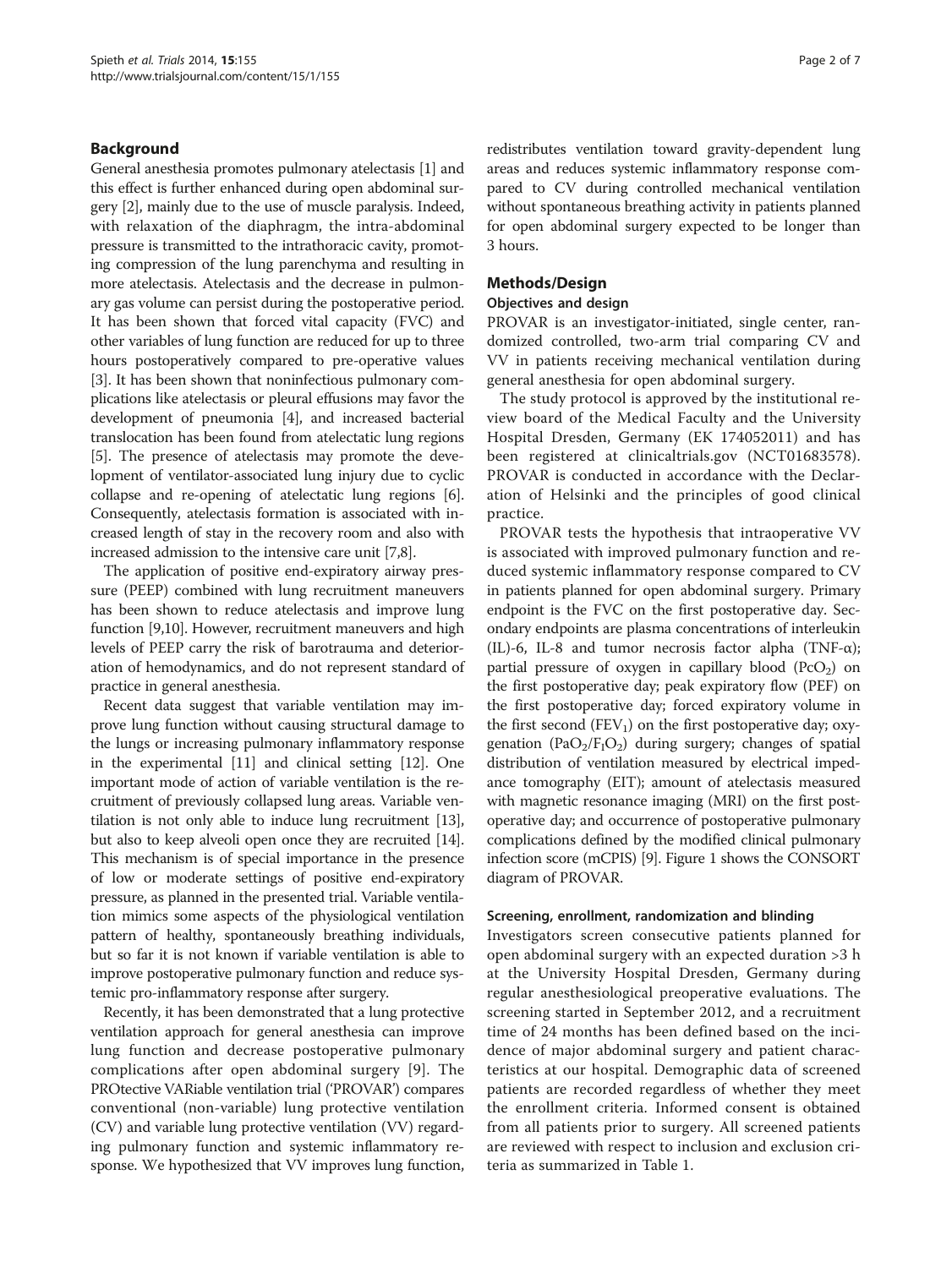#### Background

General anesthesia promotes pulmonary atelectasis [\[1](#page-5-0)] and this effect is further enhanced during open abdominal surgery [\[2](#page-5-0)], mainly due to the use of muscle paralysis. Indeed, with relaxation of the diaphragm, the intra-abdominal pressure is transmitted to the intrathoracic cavity, promoting compression of the lung parenchyma and resulting in more atelectasis. Atelectasis and the decrease in pulmonary gas volume can persist during the postoperative period. It has been shown that forced vital capacity (FVC) and other variables of lung function are reduced for up to three hours postoperatively compared to pre-operative values [[3\]](#page-5-0). It has been shown that noninfectious pulmonary complications like atelectasis or pleural effusions may favor the development of pneumonia [\[4](#page-5-0)], and increased bacterial translocation has been found from atelectatic lung regions [[5\]](#page-5-0). The presence of atelectasis may promote the development of ventilator-associated lung injury due to cyclic collapse and re-opening of atelectatic lung regions [[6](#page-5-0)]. Consequently, atelectasis formation is associated with increased length of stay in the recovery room and also with increased admission to the intensive care unit [[7,8](#page-5-0)].

The application of positive end-expiratory airway pressure (PEEP) combined with lung recruitment maneuvers has been shown to reduce atelectasis and improve lung function [[9,10](#page-5-0)]. However, recruitment maneuvers and high levels of PEEP carry the risk of barotrauma and deterioration of hemodynamics, and do not represent standard of practice in general anesthesia.

Recent data suggest that variable ventilation may improve lung function without causing structural damage to the lungs or increasing pulmonary inflammatory response in the experimental [[11](#page-5-0)] and clinical setting [\[12\]](#page-5-0). One important mode of action of variable ventilation is the recruitment of previously collapsed lung areas. Variable ventilation is not only able to induce lung recruitment [[13](#page-5-0)], but also to keep alveoli open once they are recruited [[14](#page-5-0)]. This mechanism is of special importance in the presence of low or moderate settings of positive end-expiratory pressure, as planned in the presented trial. Variable ventilation mimics some aspects of the physiological ventilation pattern of healthy, spontaneously breathing individuals, but so far it is not known if variable ventilation is able to improve postoperative pulmonary function and reduce systemic pro-inflammatory response after surgery.

Recently, it has been demonstrated that a lung protective ventilation approach for general anesthesia can improve lung function and decrease postoperative pulmonary complications after open abdominal surgery [\[9\]](#page-5-0). The PROtective VARiable ventilation trial ('PROVAR') compares conventional (non-variable) lung protective ventilation (CV) and variable lung protective ventilation (VV) regarding pulmonary function and systemic inflammatory response. We hypothesized that VV improves lung function,

redistributes ventilation toward gravity-dependent lung areas and reduces systemic inflammatory response compared to CV during controlled mechanical ventilation without spontaneous breathing activity in patients planned for open abdominal surgery expected to be longer than 3 hours.

#### Methods/Design

#### Objectives and design

PROVAR is an investigator-initiated, single center, randomized controlled, two-arm trial comparing CV and VV in patients receiving mechanical ventilation during general anesthesia for open abdominal surgery.

The study protocol is approved by the institutional review board of the Medical Faculty and the University Hospital Dresden, Germany (EK 174052011) and has been registered at clinicaltrials.gov (NCT01683578). PROVAR is conducted in accordance with the Declaration of Helsinki and the principles of good clinical practice.

PROVAR tests the hypothesis that intraoperative VV is associated with improved pulmonary function and reduced systemic inflammatory response compared to CV in patients planned for open abdominal surgery. Primary endpoint is the FVC on the first postoperative day. Secondary endpoints are plasma concentrations of interleukin (IL)-6, IL-8 and tumor necrosis factor alpha (TNF-α); partial pressure of oxygen in capillary blood  $(PCO<sub>2</sub>)$  on the first postoperative day; peak expiratory flow (PEF) on the first postoperative day; forced expiratory volume in the first second  $(FEV_1)$  on the first postoperative day; oxygenation (PaO<sub>2</sub>/F<sub>I</sub>O<sub>2</sub>) during surgery; changes of spatial distribution of ventilation measured by electrical impedance tomography (EIT); amount of atelectasis measured with magnetic resonance imaging (MRI) on the first postoperative day; and occurrence of postoperative pulmonary complications defined by the modified clinical pulmonary infection score (mCPIS) [\[9\]](#page-5-0). Figure [1](#page-2-0) shows the CONSORT diagram of PROVAR.

#### Screening, enrollment, randomization and blinding

Investigators screen consecutive patients planned for open abdominal surgery with an expected duration >3 h at the University Hospital Dresden, Germany during regular anesthesiological preoperative evaluations. The screening started in September 2012, and a recruitment time of 24 months has been defined based on the incidence of major abdominal surgery and patient characteristics at our hospital. Demographic data of screened patients are recorded regardless of whether they meet the enrollment criteria. Informed consent is obtained from all patients prior to surgery. All screened patients are reviewed with respect to inclusion and exclusion criteria as summarized in Table [1.](#page-2-0)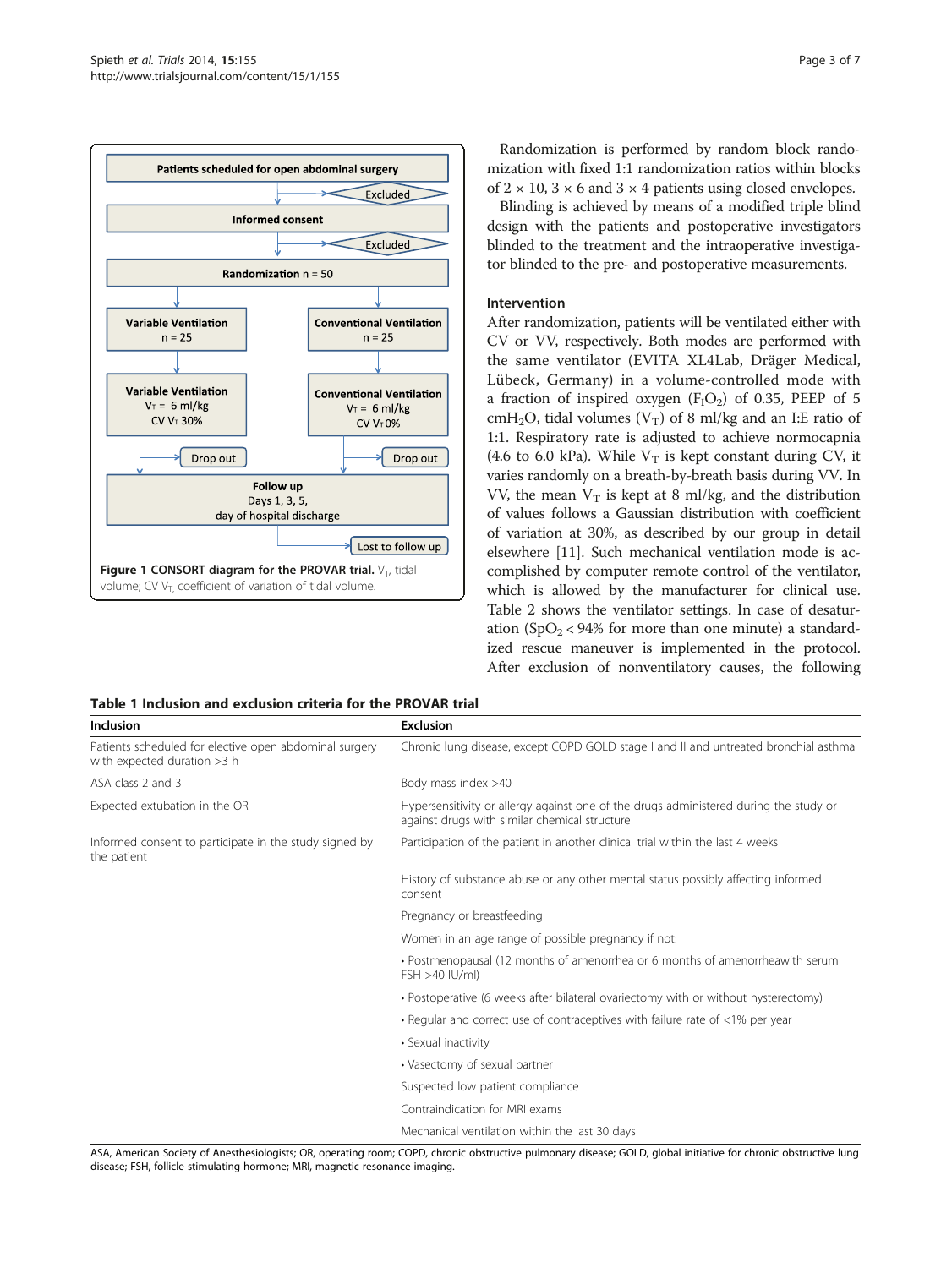<span id="page-2-0"></span>

Randomization is performed by random block randomization with fixed 1:1 randomization ratios within blocks of  $2 \times 10$ ,  $3 \times 6$  and  $3 \times 4$  patients using closed envelopes.

Blinding is achieved by means of a modified triple blind design with the patients and postoperative investigators blinded to the treatment and the intraoperative investigator blinded to the pre- and postoperative measurements.

#### Intervention

After randomization, patients will be ventilated either with CV or VV, respectively. Both modes are performed with the same ventilator (EVITA XL4Lab, Dräger Medical, Lübeck, Germany) in a volume-controlled mode with a fraction of inspired oxygen  $(F_1O_2)$  of 0.35, PEEP of 5 cmH<sub>2</sub>O, tidal volumes  $(V_T)$  of 8 ml/kg and an I:E ratio of 1:1. Respiratory rate is adjusted to achieve normocapnia (4.6 to 6.0 kPa). While  $V_T$  is kept constant during CV, it varies randomly on a breath-by-breath basis during VV. In VV, the mean  $V_T$  is kept at 8 ml/kg, and the distribution of values follows a Gaussian distribution with coefficient of variation at 30%, as described by our group in detail elsewhere [[11\]](#page-5-0). Such mechanical ventilation mode is accomplished by computer remote control of the ventilator, which is allowed by the manufacturer for clinical use. Table [2](#page-3-0) shows the ventilator settings. In case of desaturation  $(SpO<sub>2</sub> < 94\%$  for more than one minute) a standardized rescue maneuver is implemented in the protocol. After exclusion of nonventilatory causes, the following

#### Table 1 Inclusion and exclusion criteria for the PROVAR trial

| <b>Inclusion</b>                                                                      | <b>Exclusion</b>                                                                                                                       |
|---------------------------------------------------------------------------------------|----------------------------------------------------------------------------------------------------------------------------------------|
| Patients scheduled for elective open abdominal surgery<br>with expected duration >3 h | Chronic lung disease, except COPD GOLD stage I and II and untreated bronchial asthma                                                   |
| ASA class 2 and 3                                                                     | Body mass index >40                                                                                                                    |
| Expected extubation in the OR                                                         | Hypersensitivity or allergy against one of the drugs administered during the study or<br>against drugs with similar chemical structure |
| Informed consent to participate in the study signed by<br>the patient                 | Participation of the patient in another clinical trial within the last 4 weeks                                                         |
|                                                                                       | History of substance abuse or any other mental status possibly affecting informed<br>consent                                           |
|                                                                                       | Pregnancy or breastfeeding                                                                                                             |
|                                                                                       | Women in an age range of possible pregnancy if not:                                                                                    |
|                                                                                       | • Postmenopausal (12 months of amenorrhea or 6 months of amenorrheawith serum<br>$FSH > 40$ $ U/m $                                    |
|                                                                                       | • Postoperative (6 weeks after bilateral ovariectomy with or without hysterectomy)                                                     |
|                                                                                       | • Regular and correct use of contraceptives with failure rate of $<$ 1% per year                                                       |
|                                                                                       | • Sexual inactivity                                                                                                                    |
|                                                                                       | • Vasectomy of sexual partner                                                                                                          |
|                                                                                       | Suspected low patient compliance                                                                                                       |
|                                                                                       | Contraindication for MRI exams                                                                                                         |
|                                                                                       | Mechanical ventilation within the last 30 days                                                                                         |

ASA, American Society of Anesthesiologists; OR, operating room; COPD, chronic obstructive pulmonary disease; GOLD, global initiative for chronic obstructive lung disease; FSH, follicle-stimulating hormone; MRI, magnetic resonance imaging.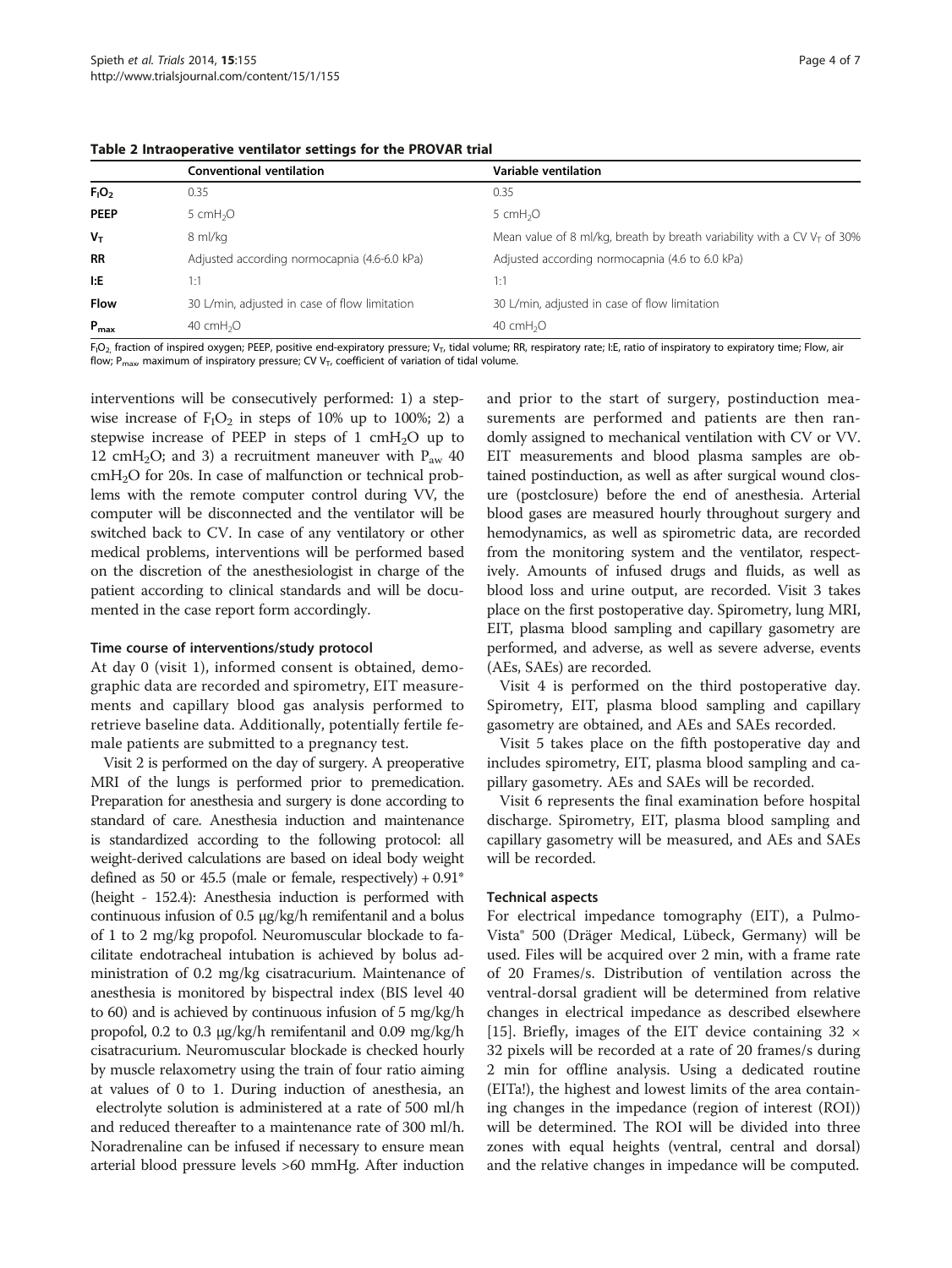|                  | <b>Conventional ventilation</b>               | Variable ventilation                                                       |
|------------------|-----------------------------------------------|----------------------------------------------------------------------------|
| $F_1O_2$         | 0.35                                          | 0.35                                                                       |
| <b>PEEP</b>      | 5 cm $H2O$                                    | 5 $cmH2O$                                                                  |
| $V_T$            | 8 ml/kg                                       | Mean value of 8 ml/kg, breath by breath variability with a CV $V_T$ of 30% |
| <b>RR</b>        | Adjusted according normocapnia (4.6-6.0 kPa)  | Adjusted according normocapnia (4.6 to 6.0 kPa)                            |
| I:E              | 1:1                                           | 1:1                                                                        |
| <b>Flow</b>      | 30 L/min, adjusted in case of flow limitation | 30 L/min, adjusted in case of flow limitation                              |
| $P_{\text{max}}$ | 40 cmH <sub>2</sub> O                         | 40 $cmH2O$                                                                 |

<span id="page-3-0"></span>Table 2 Intraoperative ventilator settings for the PROVAR trial

F<sub>I</sub>O<sub>2,</sub> fraction of inspired oxygen; PEEP, positive end-expiratory pressure; V<sub>T</sub>, tidal volume; RR, respiratory rate; I:E, ratio of inspiratory to expiratory time; Flow, air flow; P<sub>max</sub>, maximum of inspiratory pressure; CV V<sub>T</sub>, coefficient of variation of tidal volume.

interventions will be consecutively performed: 1) a stepwise increase of  $F_1O_2$  in steps of 10% up to 100%; 2) a stepwise increase of PEEP in steps of  $1 \text{ cm}H_2O$  up to 12 cmH<sub>2</sub>O; and 3) a recruitment maneuver with  $P_{\text{aw}}$  40 cmH<sub>2</sub>O for 20s. In case of malfunction or technical problems with the remote computer control during VV, the computer will be disconnected and the ventilator will be switched back to CV. In case of any ventilatory or other medical problems, interventions will be performed based on the discretion of the anesthesiologist in charge of the patient according to clinical standards and will be documented in the case report form accordingly.

#### Time course of interventions/study protocol

At day 0 (visit 1), informed consent is obtained, demographic data are recorded and spirometry, EIT measurements and capillary blood gas analysis performed to retrieve baseline data. Additionally, potentially fertile female patients are submitted to a pregnancy test.

Visit 2 is performed on the day of surgery. A preoperative MRI of the lungs is performed prior to premedication. Preparation for anesthesia and surgery is done according to standard of care. Anesthesia induction and maintenance is standardized according to the following protocol: all weight-derived calculations are based on ideal body weight defined as 50 or 45.5 (male or female, respectively)  $+0.91$ <sup>\*</sup> (height - 152.4): Anesthesia induction is performed with continuous infusion of 0.5 μg/kg/h remifentanil and a bolus of 1 to 2 mg/kg propofol. Neuromuscular blockade to facilitate endotracheal intubation is achieved by bolus administration of 0.2 mg/kg cisatracurium. Maintenance of anesthesia is monitored by bispectral index (BIS level 40 to 60) and is achieved by continuous infusion of 5 mg/kg/h propofol, 0.2 to 0.3 μg/kg/h remifentanil and 0.09 mg/kg/h cisatracurium. Neuromuscular blockade is checked hourly by muscle relaxometry using the train of four ratio aiming at values of 0 to 1. During induction of anesthesia, an electrolyte solution is administered at a rate of 500 ml/h and reduced thereafter to a maintenance rate of 300 ml/h. Noradrenaline can be infused if necessary to ensure mean arterial blood pressure levels >60 mmHg. After induction and prior to the start of surgery, postinduction measurements are performed and patients are then randomly assigned to mechanical ventilation with CV or VV. EIT measurements and blood plasma samples are obtained postinduction, as well as after surgical wound closure (postclosure) before the end of anesthesia. Arterial blood gases are measured hourly throughout surgery and hemodynamics, as well as spirometric data, are recorded from the monitoring system and the ventilator, respectively. Amounts of infused drugs and fluids, as well as blood loss and urine output, are recorded. Visit 3 takes place on the first postoperative day. Spirometry, lung MRI, EIT, plasma blood sampling and capillary gasometry are performed, and adverse, as well as severe adverse, events (AEs, SAEs) are recorded.

Visit 4 is performed on the third postoperative day. Spirometry, EIT, plasma blood sampling and capillary gasometry are obtained, and AEs and SAEs recorded.

Visit 5 takes place on the fifth postoperative day and includes spirometry, EIT, plasma blood sampling and capillary gasometry. AEs and SAEs will be recorded.

Visit 6 represents the final examination before hospital discharge. Spirometry, EIT, plasma blood sampling and capillary gasometry will be measured, and AEs and SAEs will be recorded.

#### Technical aspects

For electrical impedance tomography (EIT), a Pulmo-Vista® 500 (Dräger Medical, Lübeck, Germany) will be used. Files will be acquired over 2 min, with a frame rate of 20 Frames/s. Distribution of ventilation across the ventral-dorsal gradient will be determined from relative changes in electrical impedance as described elsewhere [[15\]](#page-5-0). Briefly, images of the EIT device containing 32 × 32 pixels will be recorded at a rate of 20 frames/s during 2 min for offline analysis. Using a dedicated routine (EITa!), the highest and lowest limits of the area containing changes in the impedance (region of interest (ROI)) will be determined. The ROI will be divided into three zones with equal heights (ventral, central and dorsal) and the relative changes in impedance will be computed.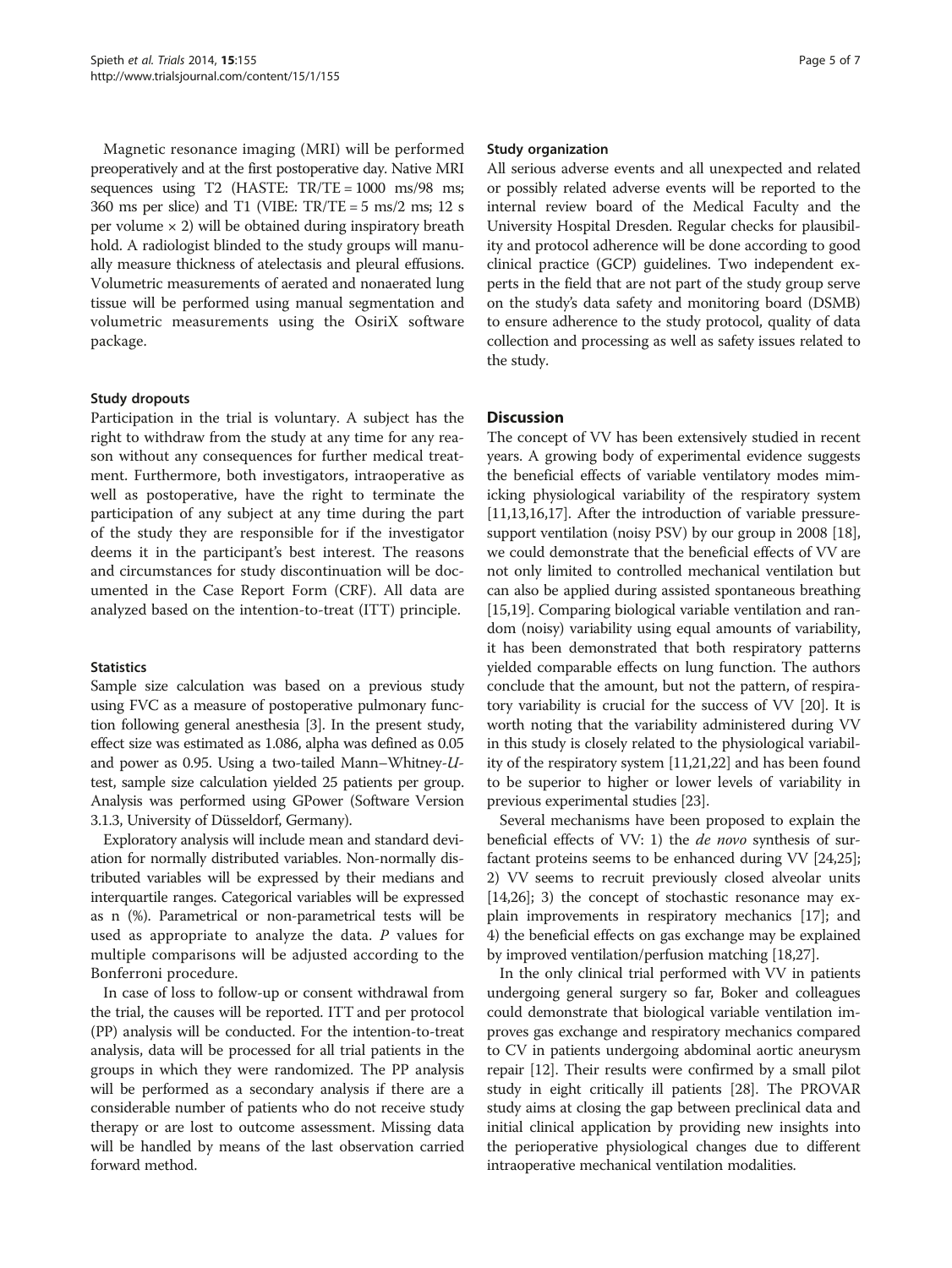Magnetic resonance imaging (MRI) will be performed preoperatively and at the first postoperative day. Native MRI sequences using T2 (HASTE:  $TR/TE = 1000$  ms/98 ms; 360 ms per slice) and T1 (VIBE:  $TR/TE = 5$  ms/2 ms; 12 s per volume  $\times$  2) will be obtained during inspiratory breath hold. A radiologist blinded to the study groups will manually measure thickness of atelectasis and pleural effusions. Volumetric measurements of aerated and nonaerated lung tissue will be performed using manual segmentation and volumetric measurements using the OsiriX software package.

#### Study dropouts

Participation in the trial is voluntary. A subject has the right to withdraw from the study at any time for any reason without any consequences for further medical treatment. Furthermore, both investigators, intraoperative as well as postoperative, have the right to terminate the participation of any subject at any time during the part of the study they are responsible for if the investigator deems it in the participant's best interest. The reasons and circumstances for study discontinuation will be documented in the Case Report Form (CRF). All data are analyzed based on the intention-to-treat (ITT) principle.

#### **Statistics**

Sample size calculation was based on a previous study using FVC as a measure of postoperative pulmonary function following general anesthesia [\[3\]](#page-5-0). In the present study, effect size was estimated as 1.086, alpha was defined as 0.05 and power as 0.95. Using a two-tailed Mann–Whitney-Utest, sample size calculation yielded 25 patients per group. Analysis was performed using GPower (Software Version 3.1.3, University of Düsseldorf, Germany).

Exploratory analysis will include mean and standard deviation for normally distributed variables. Non-normally distributed variables will be expressed by their medians and interquartile ranges. Categorical variables will be expressed as n (%). Parametrical or non-parametrical tests will be used as appropriate to analyze the data.  $P$  values for multiple comparisons will be adjusted according to the Bonferroni procedure.

In case of loss to follow-up or consent withdrawal from the trial, the causes will be reported. ITT and per protocol (PP) analysis will be conducted. For the intention-to-treat analysis, data will be processed for all trial patients in the groups in which they were randomized. The PP analysis will be performed as a secondary analysis if there are a considerable number of patients who do not receive study therapy or are lost to outcome assessment. Missing data will be handled by means of the last observation carried forward method.

#### Study organization

All serious adverse events and all unexpected and related or possibly related adverse events will be reported to the internal review board of the Medical Faculty and the University Hospital Dresden. Regular checks for plausibility and protocol adherence will be done according to good clinical practice (GCP) guidelines. Two independent experts in the field that are not part of the study group serve on the study's data safety and monitoring board (DSMB) to ensure adherence to the study protocol, quality of data collection and processing as well as safety issues related to the study.

#### **Discussion**

The concept of VV has been extensively studied in recent years. A growing body of experimental evidence suggests the beneficial effects of variable ventilatory modes mimicking physiological variability of the respiratory system [[11,13](#page-5-0)[,16,17](#page-6-0)]. After the introduction of variable pressuresupport ventilation (noisy PSV) by our group in 2008 [[18](#page-6-0)], we could demonstrate that the beneficial effects of VV are not only limited to controlled mechanical ventilation but can also be applied during assisted spontaneous breathing [[15](#page-5-0)[,19](#page-6-0)]. Comparing biological variable ventilation and random (noisy) variability using equal amounts of variability, it has been demonstrated that both respiratory patterns yielded comparable effects on lung function. The authors conclude that the amount, but not the pattern, of respiratory variability is crucial for the success of VV [[20](#page-6-0)]. It is worth noting that the variability administered during VV in this study is closely related to the physiological variability of the respiratory system [\[11](#page-5-0)[,21,22](#page-6-0)] and has been found to be superior to higher or lower levels of variability in previous experimental studies [\[23\]](#page-6-0).

Several mechanisms have been proposed to explain the beneficial effects of VV: 1) the *de novo* synthesis of surfactant proteins seems to be enhanced during VV [\[24,25](#page-6-0)]; 2) VV seems to recruit previously closed alveolar units [[14](#page-5-0)[,26](#page-6-0)]; 3) the concept of stochastic resonance may explain improvements in respiratory mechanics [[17](#page-6-0)]; and 4) the beneficial effects on gas exchange may be explained by improved ventilation/perfusion matching [\[18,27](#page-6-0)].

In the only clinical trial performed with VV in patients undergoing general surgery so far, Boker and colleagues could demonstrate that biological variable ventilation improves gas exchange and respiratory mechanics compared to CV in patients undergoing abdominal aortic aneurysm repair [[12](#page-5-0)]. Their results were confirmed by a small pilot study in eight critically ill patients [\[28\]](#page-6-0). The PROVAR study aims at closing the gap between preclinical data and initial clinical application by providing new insights into the perioperative physiological changes due to different intraoperative mechanical ventilation modalities.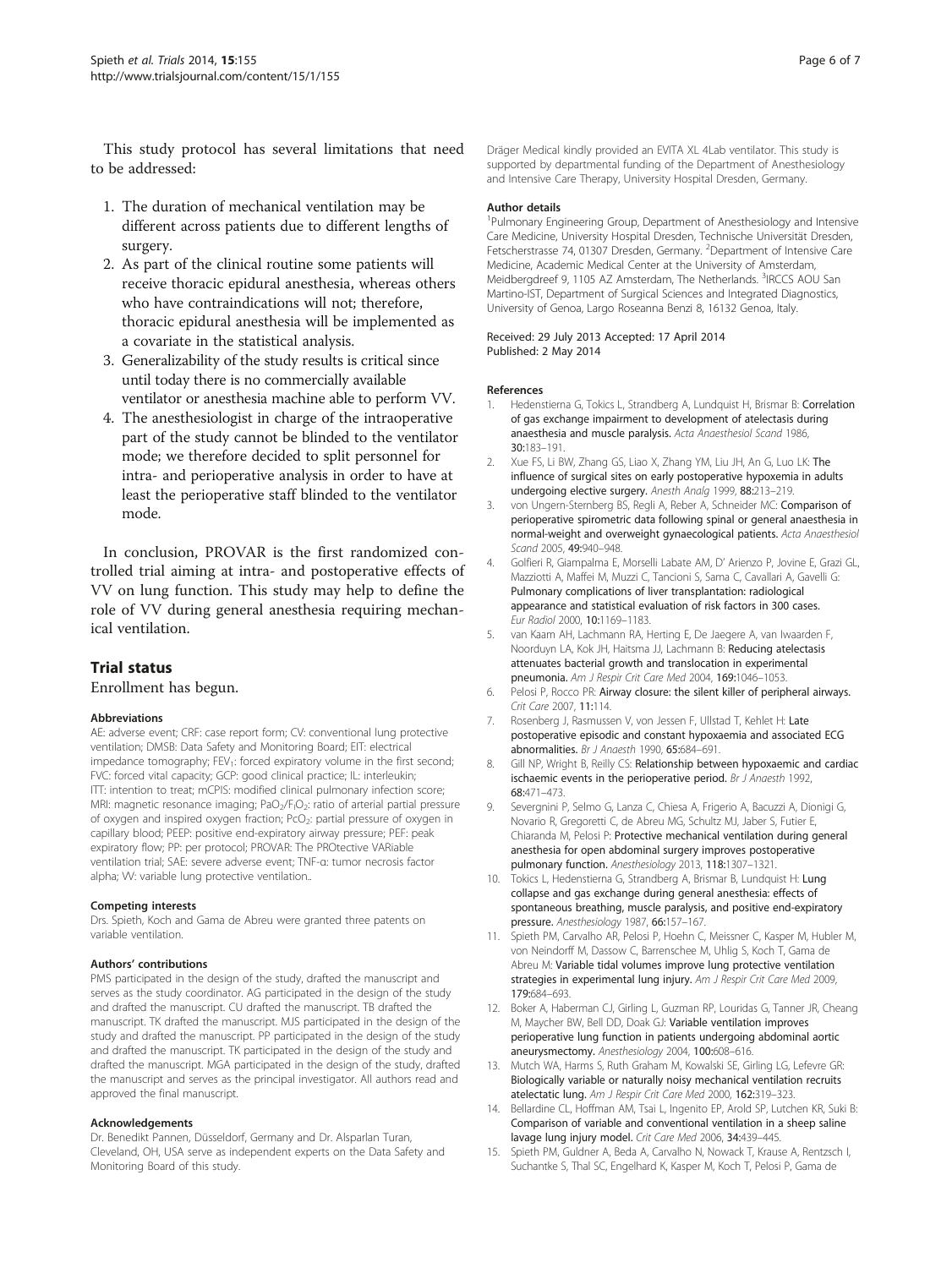<span id="page-5-0"></span>This study protocol has several limitations that need to be addressed:

- 1. The duration of mechanical ventilation may be different across patients due to different lengths of surgery.
- 2. As part of the clinical routine some patients will receive thoracic epidural anesthesia, whereas others who have contraindications will not; therefore, thoracic epidural anesthesia will be implemented as a covariate in the statistical analysis.
- 3. Generalizability of the study results is critical since until today there is no commercially available ventilator or anesthesia machine able to perform VV.
- 4. The anesthesiologist in charge of the intraoperative part of the study cannot be blinded to the ventilator mode; we therefore decided to split personnel for intra- and perioperative analysis in order to have at least the perioperative staff blinded to the ventilator mode.

In conclusion, PROVAR is the first randomized controlled trial aiming at intra- and postoperative effects of VV on lung function. This study may help to define the role of VV during general anesthesia requiring mechanical ventilation.

#### Trial status

Enrollment has begun.

#### Abbreviations

AE: adverse event; CRF: case report form; CV: conventional lung protective ventilation; DMSB: Data Safety and Monitoring Board; EIT: electrical impedance tomography; FEV<sub>1</sub>: forced expiratory volume in the first second; FVC: forced vital capacity; GCP: good clinical practice; IL: interleukin; ITT: intention to treat; mCPIS: modified clinical pulmonary infection score; MRI: magnetic resonance imaging; PaO<sub>2</sub>/F<sub>I</sub>O<sub>2</sub>: ratio of arterial partial pressure of oxygen and inspired oxygen fraction; PcO<sub>2</sub>: partial pressure of oxygen in capillary blood; PEEP: positive end-expiratory airway pressure; PEF: peak expiratory flow; PP: per protocol; PROVAR: The PROtective VARiable ventilation trial; SAE: severe adverse event; TNF-α: tumor necrosis factor alpha; VV: variable lung protective ventilation..

#### Competing interests

Drs. Spieth, Koch and Gama de Abreu were granted three patents on variable ventilation.

#### Authors' contributions

PMS participated in the design of the study, drafted the manuscript and serves as the study coordinator. AG participated in the design of the study and drafted the manuscript. CU drafted the manuscript. TB drafted the manuscript. TK drafted the manuscript. MJS participated in the design of the study and drafted the manuscript. PP participated in the design of the study and drafted the manuscript. TK participated in the design of the study and drafted the manuscript. MGA participated in the design of the study, drafted the manuscript and serves as the principal investigator. All authors read and approved the final manuscript.

#### Acknowledgements

Dr. Benedikt Pannen, Düsseldorf, Germany and Dr. Alsparlan Turan, Cleveland, OH, USA serve as independent experts on the Data Safety and Monitoring Board of this study.

Dräger Medical kindly provided an EVITA XL 4Lab ventilator. This study is supported by departmental funding of the Department of Anesthesiology and Intensive Care Therapy, University Hospital Dresden, Germany.

#### Author details

<sup>1</sup>Pulmonary Engineering Group, Department of Anesthesiology and Intensive Care Medicine, University Hospital Dresden, Technische Universität Dresden, Fetscherstrasse 74, 01307 Dresden, Germany. <sup>2</sup>Department of Intensive Care Medicine, Academic Medical Center at the University of Amsterdam, Meidbergdreef 9, 1105 AZ Amsterdam, The Netherlands. <sup>3</sup>IRCCS AOU San Martino-IST, Department of Surgical Sciences and Integrated Diagnostics, University of Genoa, Largo Roseanna Benzi 8, 16132 Genoa, Italy.

#### Received: 29 July 2013 Accepted: 17 April 2014 Published: 2 May 2014

#### References

- Hedenstierna G, Tokics L, Strandberg A, Lundquist H, Brismar B: Correlation of gas exchange impairment to development of atelectasis during anaesthesia and muscle paralysis. Acta Anaesthesiol Scand 1986, 30:183–191.
- 2. Xue FS, Li BW, Zhang GS, Liao X, Zhang YM, Liu JH, An G, Luo LK: The influence of surgical sites on early postoperative hypoxemia in adults undergoing elective surgery. Anesth Analg 1999, 88:213–219.
- 3. von Ungern-Sternberg BS, Regli A, Reber A, Schneider MC: Comparison of perioperative spirometric data following spinal or general anaesthesia in normal-weight and overweight gynaecological patients. Acta Anaesthesiol Scand 2005, 49:940–948.
- 4. Golfieri R, Giampalma E, Morselli Labate AM, D' Arienzo P, Jovine E, Grazi GL, Mazziotti A, Maffei M, Muzzi C, Tancioni S, Sama C, Cavallari A, Gavelli G: Pulmonary complications of liver transplantation: radiological appearance and statistical evaluation of risk factors in 300 cases. Eur Radiol 2000, 10:1169–1183.
- 5. van Kaam AH, Lachmann RA, Herting E, De Jaegere A, van Iwaarden F, Noorduyn LA, Kok JH, Haitsma JJ, Lachmann B: Reducing atelectasis attenuates bacterial growth and translocation in experimental pneumonia. Am J Respir Crit Care Med 2004, 169:1046–1053.
- 6. Pelosi P, Rocco PR: Airway closure: the silent killer of peripheral airways. Crit Care 2007, 11:114.
- 7. Rosenberg J, Rasmussen V, von Jessen F, Ullstad T, Kehlet H: Late postoperative episodic and constant hypoxaemia and associated ECG abnormalities. Br J Anaesth 1990, 65:684–691.
- 8. Gill NP, Wright B, Reilly CS: Relationship between hypoxaemic and cardiac ischaemic events in the perioperative period. Br J Anaesth 1992, 68:471–473.
- 9. Severgnini P, Selmo G, Lanza C, Chiesa A, Frigerio A, Bacuzzi A, Dionigi G, Novario R, Gregoretti C, de Abreu MG, Schultz MJ, Jaber S, Futier E, Chiaranda M, Pelosi P: Protective mechanical ventilation during general anesthesia for open abdominal surgery improves postoperative pulmonary function. Anesthesiology 2013, 118:1307–1321.
- 10. Tokics L, Hedenstierna G, Strandberg A, Brismar B, Lundquist H: Lung collapse and gas exchange during general anesthesia: effects of spontaneous breathing, muscle paralysis, and positive end-expiratory pressure. Anesthesiology 1987, 66:157–167.
- 11. Spieth PM, Carvalho AR, Pelosi P, Hoehn C, Meissner C, Kasper M, Hubler M, von Neindorff M, Dassow C, Barrenschee M, Uhlig S, Koch T, Gama de Abreu M: Variable tidal volumes improve lung protective ventilation strategies in experimental lung injury. Am J Respir Crit Care Med 2009, 179:684–693.
- 12. Boker A, Haberman CJ, Girling L, Guzman RP, Louridas G, Tanner JR, Cheang M, Maycher BW, Bell DD, Doak GJ: Variable ventilation improves perioperative lung function in patients undergoing abdominal aortic aneurysmectomy. Anesthesiology 2004, 100:608–616.
- 13. Mutch WA, Harms S, Ruth Graham M, Kowalski SE, Girling LG, Lefevre GR: Biologically variable or naturally noisy mechanical ventilation recruits atelectatic lung. Am J Respir Crit Care Med 2000, 162:319–323.
- 14. Bellardine CL, Hoffman AM, Tsai L, Ingenito EP, Arold SP, Lutchen KR, Suki B: Comparison of variable and conventional ventilation in a sheep saline lavage lung injury model. Crit Care Med 2006, 34:439–445.
- 15. Spieth PM, Guldner A, Beda A, Carvalho N, Nowack T, Krause A, Rentzsch I, Suchantke S, Thal SC, Engelhard K, Kasper M, Koch T, Pelosi P, Gama de